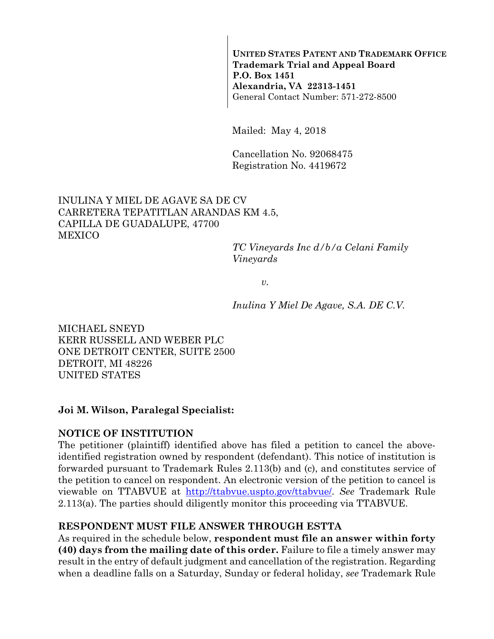**UNITED STATES PATENT AND TRADEMARK OFFICE Trademark Trial and Appeal Board P.O. Box 1451 Alexandria, VA 22313-1451**  General Contact Number: 571-272-8500

Mailed: May 4, 2018

Cancellation No. 92068475 Registration No. 4419672

## INULINA Y MIEL DE AGAVE SA DE CV CARRETERA TEPATITLAN ARANDAS KM 4.5, CAPILLA DE GUADALUPE, 47700 MEXICO

*TC Vineyards Inc d/b/a Celani Family Vineyards* 

*v.* 

*Inulina Y Miel De Agave, S.A. DE C.V.* 

MICHAEL SNEYD KERR RUSSELL AND WEBER PLC ONE DETROIT CENTER, SUITE 2500 DETROIT, MI 48226 UNITED STATES

### **Joi M. Wilson, Paralegal Specialist:**

### **NOTICE OF INSTITUTION**

The petitioner (plaintiff) identified above has filed a petition to cancel the aboveidentified registration owned by respondent (defendant). This notice of institution is forwarded pursuant to Trademark Rules 2.113(b) and (c), and constitutes service of the petition to cancel on respondent. An electronic version of the petition to cancel is viewable on TTABVUE at http://ttabvue.uspto.gov/ttabvue/. *See* Trademark Rule 2.113(a). The parties should diligently monitor this proceeding via TTABVUE.

## **RESPONDENT MUST FILE ANSWER THROUGH ESTTA**

As required in the schedule below, **respondent must file an answer within forty (40) days from the mailing date of this order.** Failure to file a timely answer may result in the entry of default judgment and cancellation of the registration. Regarding when a deadline falls on a Saturday, Sunday or federal holiday, *see* Trademark Rule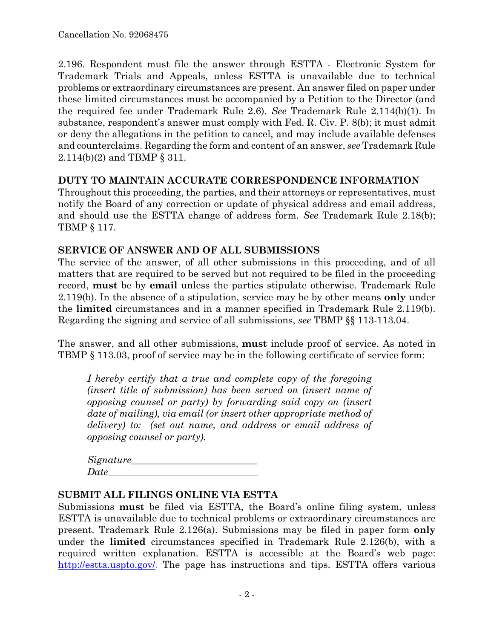2.196. Respondent must file the answer through ESTTA - Electronic System for Trademark Trials and Appeals, unless ESTTA is unavailable due to technical problems or extraordinary circumstances are present. An answer filed on paper under these limited circumstances must be accompanied by a Petition to the Director (and the required fee under Trademark Rule 2.6). *See* Trademark Rule 2.114(b)(1). In substance, respondent's answer must comply with Fed. R. Civ. P. 8(b); it must admit or deny the allegations in the petition to cancel, and may include available defenses and counterclaims. Regarding the form and content of an answer, *see* Trademark Rule 2.114(b)(2) and TBMP § 311.

### **DUTY TO MAINTAIN ACCURATE CORRESPONDENCE INFORMATION**

Throughout this proceeding, the parties, and their attorneys or representatives, must notify the Board of any correction or update of physical address and email address, and should use the ESTTA change of address form. *See* Trademark Rule 2.18(b); TBMP § 117.

### **SERVICE OF ANSWER AND OF ALL SUBMISSIONS**

The service of the answer, of all other submissions in this proceeding, and of all matters that are required to be served but not required to be filed in the proceeding record, **must** be by **email** unless the parties stipulate otherwise. Trademark Rule 2.119(b). In the absence of a stipulation, service may be by other means **only** under the **limited** circumstances and in a manner specified in Trademark Rule 2.119(b). Regarding the signing and service of all submissions, *see* TBMP §§ 113-113.04.

The answer, and all other submissions, **must** include proof of service. As noted in TBMP § 113.03, proof of service may be in the following certificate of service form:

*I hereby certify that a true and complete copy of the foregoing (insert title of submission) has been served on (insert name of opposing counsel or party) by forwarding said copy on (insert date of mailing), via email (or insert other appropriate method of delivery) to: (set out name, and address or email address of opposing counsel or party).* 

| Signature_ |  |  |
|------------|--|--|
| Date       |  |  |

### **SUBMIT ALL FILINGS ONLINE VIA ESTTA**

Submissions **must** be filed via ESTTA, the Board's online filing system, unless ESTTA is unavailable due to technical problems or extraordinary circumstances are present. Trademark Rule 2.126(a). Submissions may be filed in paper form **only** under the **limited** circumstances specified in Trademark Rule 2.126(b), with a required written explanation. ESTTA is accessible at the Board's web page: http://estta.uspto.gov/. The page has instructions and tips. ESTTA offers various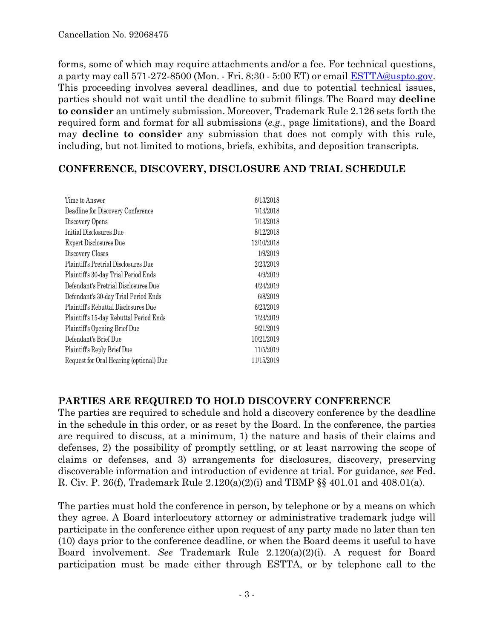forms, some of which may require attachments and/or a fee. For technical questions, a party may call 571-272-8500 (Mon. - Fri. 8:30 - 5:00 ET) or email ESTTA@uspto.gov. This proceeding involves several deadlines, and due to potential technical issues, parties should not wait until the deadline to submit filings. The Board may **decline to consider** an untimely submission. Moreover, Trademark Rule 2.126 sets forth the required form and format for all submissions (*e.g.*, page limitations), and the Board may **decline to consider** any submission that does not comply with this rule, including, but not limited to motions, briefs, exhibits, and deposition transcripts.

## **CONFERENCE, DISCOVERY, DISCLOSURE AND TRIAL SCHEDULE**

| Time to Answer                              | 6/13/2018  |
|---------------------------------------------|------------|
| Deadline for Discovery Conference           | 7/13/2018  |
| Discovery Opens                             | 7/13/2018  |
| Initial Disclosures Due                     | 8/12/2018  |
| Expert Disclosures Due                      | 12/10/2018 |
| Discovery Closes                            | 1/9/2019   |
| <b>Plaintiff's Pretrial Disclosures Due</b> | 2/23/2019  |
| Plaintiff's 30-day Trial Period Ends        | 4/9/2019   |
| Defendant's Pretrial Disclosures Due        | 4/24/2019  |
| Defendant's 30-day Trial Period Ends        | 6/8/2019   |
| Plaintiff's Rebuttal Disclosures Due        | 6/23/2019  |
| Plaintiff's 15-day Rebuttal Period Ends     | 7/23/2019  |
| Plaintiff's Opening Brief Due               | 9/21/2019  |
| Defendant's Brief Due                       | 10/21/2019 |
| Plaintiff's Reply Brief Due                 | 11/5/2019  |
| Request for Oral Hearing (optional) Due     | 11/15/2019 |
|                                             |            |

## **PARTIES ARE REQUIRED TO HOLD DISCOVERY CONFERENCE**

The parties are required to schedule and hold a discovery conference by the deadline in the schedule in this order, or as reset by the Board. In the conference, the parties are required to discuss, at a minimum, 1) the nature and basis of their claims and defenses, 2) the possibility of promptly settling, or at least narrowing the scope of claims or defenses, and 3) arrangements for disclosures, discovery, preserving discoverable information and introduction of evidence at trial. For guidance, *see* Fed. R. Civ. P. 26(f), Trademark Rule 2.120(a)(2)(i) and TBMP §§ 401.01 and 408.01(a).

The parties must hold the conference in person, by telephone or by a means on which they agree. A Board interlocutory attorney or administrative trademark judge will participate in the conference either upon request of any party made no later than ten (10) days prior to the conference deadline, or when the Board deems it useful to have Board involvement. *See* Trademark Rule 2.120(a)(2)(i). A request for Board participation must be made either through ESTTA, or by telephone call to the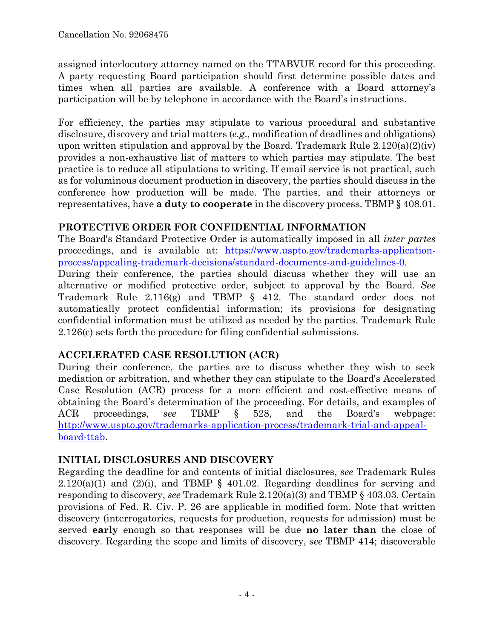assigned interlocutory attorney named on the TTABVUE record for this proceeding. A party requesting Board participation should first determine possible dates and times when all parties are available. A conference with a Board attorney's participation will be by telephone in accordance with the Board's instructions.

For efficiency, the parties may stipulate to various procedural and substantive disclosure, discovery and trial matters (*e.g*., modification of deadlines and obligations) upon written stipulation and approval by the Board. Trademark Rule  $2.120(a)(2)(iv)$ provides a non-exhaustive list of matters to which parties may stipulate. The best practice is to reduce all stipulations to writing. If email service is not practical, such as for voluminous document production in discovery, the parties should discuss in the conference how production will be made. The parties, and their attorneys or representatives, have **a duty to cooperate** in the discovery process. TBMP § 408.01.

## **PROTECTIVE ORDER FOR CONFIDENTIAL INFORMATION**

The Board's Standard Protective Order is automatically imposed in all *inter partes* proceedings, and is available at: https://www.uspto.gov/trademarks-applicationprocess/appealing-trademark-decisions/standard-documents-and-guidelines-0.

During their conference, the parties should discuss whether they will use an alternative or modified protective order, subject to approval by the Board. *See* Trademark Rule 2.116(g) and TBMP § 412. The standard order does not automatically protect confidential information; its provisions for designating confidential information must be utilized as needed by the parties. Trademark Rule 2.126(c) sets forth the procedure for filing confidential submissions.

# **ACCELERATED CASE RESOLUTION (ACR)**

During their conference, the parties are to discuss whether they wish to seek mediation or arbitration, and whether they can stipulate to the Board's Accelerated Case Resolution (ACR) process for a more efficient and cost-effective means of obtaining the Board's determination of the proceeding. For details, and examples of ACR proceedings, *see* TBMP § 528, and the Board's webpage: http://www.uspto.gov/trademarks-application-process/trademark-trial-and-appealboard-ttab.

# **INITIAL DISCLOSURES AND DISCOVERY**

Regarding the deadline for and contents of initial disclosures, *see* Trademark Rules  $2.120(a)(1)$  and  $(2)(i)$ , and TBMP § 401.02. Regarding deadlines for serving and responding to discovery, *see* Trademark Rule 2.120(a)(3) and TBMP § 403.03. Certain provisions of Fed. R. Civ. P. 26 are applicable in modified form. Note that written discovery (interrogatories, requests for production, requests for admission) must be served **early** enough so that responses will be due **no later than** the close of discovery. Regarding the scope and limits of discovery, *see* TBMP 414; discoverable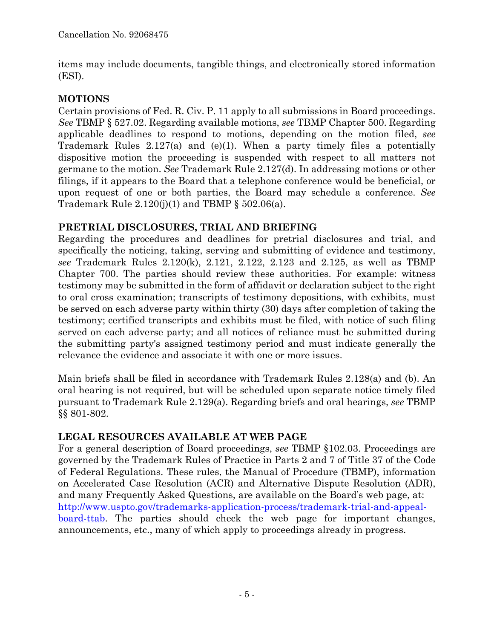items may include documents, tangible things, and electronically stored information (ESI).

# **MOTIONS**

Certain provisions of Fed. R. Civ. P. 11 apply to all submissions in Board proceedings. *See* TBMP § 527.02. Regarding available motions, *see* TBMP Chapter 500. Regarding applicable deadlines to respond to motions, depending on the motion filed, *see* Trademark Rules 2.127(a) and (e)(1). When a party timely files a potentially dispositive motion the proceeding is suspended with respect to all matters not germane to the motion. *See* Trademark Rule 2.127(d). In addressing motions or other filings, if it appears to the Board that a telephone conference would be beneficial, or upon request of one or both parties, the Board may schedule a conference. *See* Trademark Rule  $2.120(j)(1)$  and TBMP § 502.06(a).

# **PRETRIAL DISCLOSURES, TRIAL AND BRIEFING**

Regarding the procedures and deadlines for pretrial disclosures and trial, and specifically the noticing, taking, serving and submitting of evidence and testimony, *see* Trademark Rules 2.120(k), 2.121, 2.122, 2.123 and 2.125, as well as TBMP Chapter 700. The parties should review these authorities. For example: witness testimony may be submitted in the form of affidavit or declaration subject to the right to oral cross examination; transcripts of testimony depositions, with exhibits, must be served on each adverse party within thirty (30) days after completion of taking the testimony; certified transcripts and exhibits must be filed, with notice of such filing served on each adverse party; and all notices of reliance must be submitted during the submitting party's assigned testimony period and must indicate generally the relevance the evidence and associate it with one or more issues.

Main briefs shall be filed in accordance with Trademark Rules 2.128(a) and (b). An oral hearing is not required, but will be scheduled upon separate notice timely filed pursuant to Trademark Rule 2.129(a). Regarding briefs and oral hearings, *see* TBMP §§ 801-802.

# **LEGAL RESOURCES AVAILABLE AT WEB PAGE**

For a general description of Board proceedings, *see* TBMP §102.03. Proceedings are governed by the Trademark Rules of Practice in Parts 2 and 7 of Title 37 of the Code of Federal Regulations. These rules, the Manual of Procedure (TBMP), information on Accelerated Case Resolution (ACR) and Alternative Dispute Resolution (ADR), and many Frequently Asked Questions, are available on the Board's web page, at: http://www.uspto.gov/trademarks-application-process/trademark-trial-and-appealboard-ttab. The parties should check the web page for important changes, announcements, etc., many of which apply to proceedings already in progress.